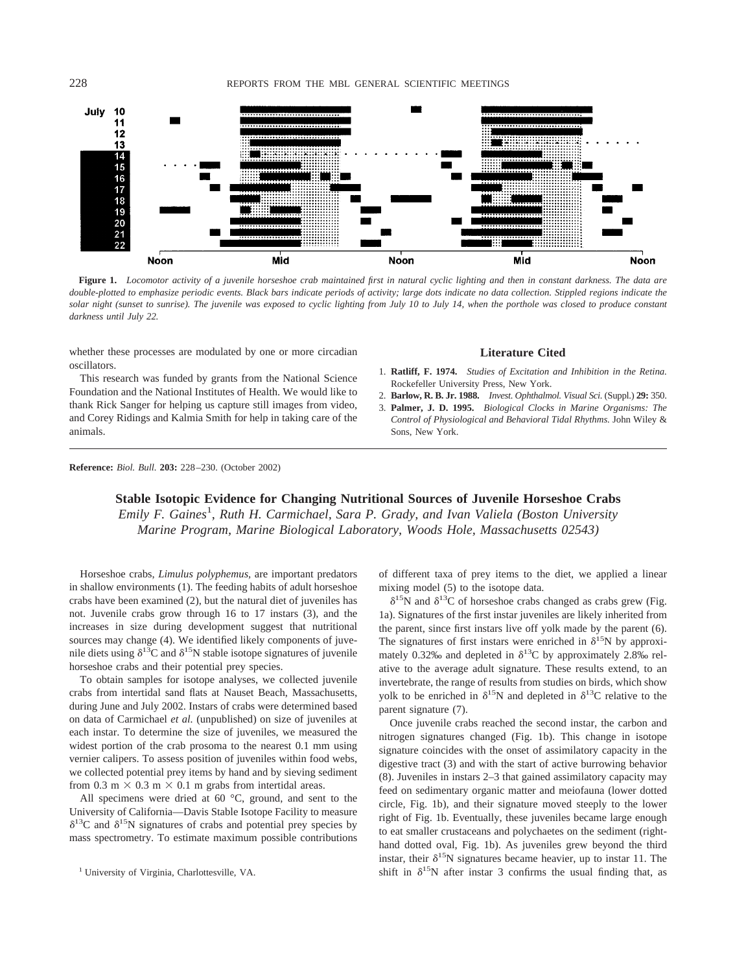228 REPORTS FROM THE MBL GENERAL SCIENTIFIC MEETINGS



**Figure 1.** *Locomotor activity of a juvenile horseshoe crab maintained first in natural cyclic lighting and then in constant darkness. The data are double-plotted to emphasize periodic events. Black bars indicate periods of activity; large dots indicate no data collection. Stippled regions indicate the solar night (sunset to sunrise). The juvenile was exposed to cyclic lighting from July 10 to July 14, when the porthole was closed to produce constant darkness until July 22.*

whether these processes are modulated by one or more circadian oscillators.

This research was funded by grants from the National Science Foundation and the National Institutes of Health. We would like to thank Rick Sanger for helping us capture still images from video, and Corey Ridings and Kalmia Smith for help in taking care of the animals.

## **Literature Cited**

- 1. **Ratliff, F. 1974.** *Studies of Excitation and Inhibition in the Retina.* Rockefeller University Press, New York.
- 2. **Barlow, R. B. Jr. 1988.** *Invest. Ophthalmol. Visual Sci.* (Suppl.) **29:** 350.
- 3. **Palmer, J. D. 1995.** *Biological Clocks in Marine Organisms: The Control of Physiological and Behavioral Tidal Rhythms.* John Wiley & Sons, New York.

**Reference:** *Biol. Bull.* **203:** 228–230. (October 2002)

## **Stable Isotopic Evidence for Changing Nutritional Sources of Juvenile Horseshoe Crabs**

Emily F. Gaines<sup>1</sup>, Ruth H. Carmichael, Sara P. Grady, and Ivan Valiela (Boston University *Marine Program, Marine Biological Laboratory, Woods Hole, Massachusetts 02543)*

Horseshoe crabs, *Limulus polyphemus,* are important predators in shallow environments (1). The feeding habits of adult horseshoe crabs have been examined (2), but the natural diet of juveniles has not. Juvenile crabs grow through 16 to 17 instars (3), and the increases in size during development suggest that nutritional sources may change (4). We identified likely components of juvenile diets using  $\delta^{13}$ C and  $\delta^{15}$ N stable isotope signatures of juvenile horseshoe crabs and their potential prey species.

To obtain samples for isotope analyses, we collected juvenile crabs from intertidal sand flats at Nauset Beach, Massachusetts, during June and July 2002. Instars of crabs were determined based on data of Carmichael *et al.* (unpublished) on size of juveniles at each instar. To determine the size of juveniles, we measured the widest portion of the crab prosoma to the nearest 0.1 mm using vernier calipers. To assess position of juveniles within food webs, we collected potential prey items by hand and by sieving sediment from 0.3 m  $\times$  0.3 m  $\times$  0.1 m grabs from intertidal areas.

All specimens were dried at 60 °C, ground, and sent to the University of California—Davis Stable Isotope Facility to measure  $\delta^{13}$ C and  $\delta^{15}$ N signatures of crabs and potential prey species by mass spectrometry. To estimate maximum possible contributions of different taxa of prey items to the diet, we applied a linear mixing model (5) to the isotope data.

 $\delta^{15}$ N and  $\delta^{13}$ C of horseshoe crabs changed as crabs grew (Fig. 1a). Signatures of the first instar juveniles are likely inherited from the parent, since first instars live off yolk made by the parent (6). The signatures of first instars were enriched in  $\delta^{15}N$  by approximately 0.32‰ and depleted in  $\delta^{13}$ C by approximately 2.8‰ relative to the average adult signature. These results extend, to an invertebrate, the range of results from studies on birds, which show yolk to be enriched in  $\delta^{15}N$  and depleted in  $\delta^{13}C$  relative to the parent signature (7).

Once juvenile crabs reached the second instar, the carbon and nitrogen signatures changed (Fig. 1b). This change in isotope signature coincides with the onset of assimilatory capacity in the digestive tract (3) and with the start of active burrowing behavior (8). Juveniles in instars 2–3 that gained assimilatory capacity may feed on sedimentary organic matter and meiofauna (lower dotted circle, Fig. 1b), and their signature moved steeply to the lower right of Fig. 1b. Eventually, these juveniles became large enough to eat smaller crustaceans and polychaetes on the sediment (righthand dotted oval, Fig. 1b). As juveniles grew beyond the third instar, their  $\delta^{15}N$  signatures became heavier, up to instar 11. The <sup>1</sup> University of Virginia, Charlottesville, VA. Shift in  $\delta^{15}N$  after instar 3 confirms the usual finding that, as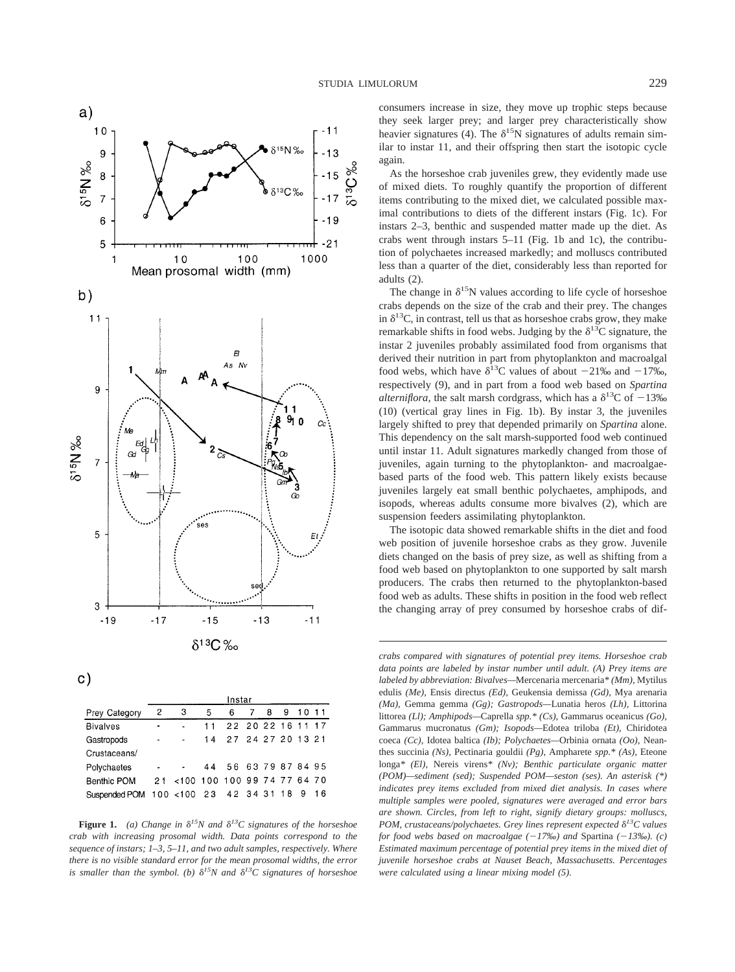



|                 | Instar                   |                                |    |                      |  |   |   |    |       |
|-----------------|--------------------------|--------------------------------|----|----------------------|--|---|---|----|-------|
| Prey Category   | 2                        | з                              | 5  | 6                    |  | 8 | 9 | 10 | $-11$ |
| <b>Bivalves</b> | ٠                        | ä,                             | 11 | 22 20 22 16 11 17    |  |   |   |    |       |
| Gastropods      | $\overline{\phantom{a}}$ |                                |    | 14 27 24 27 20 13 21 |  |   |   |    |       |
| Crustaceans/    |                          |                                |    |                      |  |   |   |    |       |
| Polychaetes     |                          |                                |    | 44 56 63 79 87 84 95 |  |   |   |    |       |
| Benthic POM     |                          | 21 <100 100 100 99 74 77 64 70 |    |                      |  |   |   |    |       |
| Suspended POM   |                          | 100 < 100 23 42 34 31 18       |    |                      |  |   |   |    | 16    |

**Figure 1.** (a) Change in  $\delta^{15}N$  and  $\delta^{13}C$  signatures of the horseshoe *crab with increasing prosomal width. Data points correspond to the sequence of instars; 1–3, 5–11, and two adult samples, respectively. Where there is no visible standard error for the mean prosomal widths, the error* is smaller than the symbol. (b)  $\delta^{15}N$  and  $\delta^{13}C$  signatures of horseshoe

consumers increase in size, they move up trophic steps because they seek larger prey; and larger prey characteristically show heavier signatures (4). The  $\delta^{15}N$  signatures of adults remain similar to instar 11, and their offspring then start the isotopic cycle again.

As the horseshoe crab juveniles grew, they evidently made use of mixed diets. To roughly quantify the proportion of different items contributing to the mixed diet, we calculated possible maximal contributions to diets of the different instars (Fig. 1c). For instars 2–3, benthic and suspended matter made up the diet. As crabs went through instars 5–11 (Fig. 1b and 1c), the contribution of polychaetes increased markedly; and molluscs contributed less than a quarter of the diet, considerably less than reported for adults (2).

The change in  $\delta^{15}N$  values according to life cycle of horseshoe crabs depends on the size of the crab and their prey. The changes in  $\delta^{13}$ C, in contrast, tell us that as horseshoe crabs grow, they make remarkable shifts in food webs. Judging by the  $\delta^{13}$ C signature, the instar 2 juveniles probably assimilated food from organisms that derived their nutrition in part from phytoplankton and macroalgal food webs, which have  $\delta^{13}$ C values of about -21‰ and -17‰, respectively (9), and in part from a food web based on *Spartina alterniflora*, the salt marsh cordgrass, which has a  $\delta^{13}$ C of  $-13\%$ (10) (vertical gray lines in Fig. 1b). By instar 3, the juveniles largely shifted to prey that depended primarily on *Spartina* alone. This dependency on the salt marsh-supported food web continued until instar 11. Adult signatures markedly changed from those of juveniles, again turning to the phytoplankton- and macroalgaebased parts of the food web. This pattern likely exists because juveniles largely eat small benthic polychaetes, amphipods, and isopods, whereas adults consume more bivalves (2), which are suspension feeders assimilating phytoplankton.

The isotopic data showed remarkable shifts in the diet and food web position of juvenile horseshoe crabs as they grow. Juvenile diets changed on the basis of prey size, as well as shifting from a food web based on phytoplankton to one supported by salt marsh producers. The crabs then returned to the phytoplankton-based food web as adults. These shifts in position in the food web reflect the changing array of prey consumed by horseshoe crabs of dif-

*crabs compared with signatures of potential prey items. Horseshoe crab data points are labeled by instar number until adult. (A) Prey items are labeled by abbreviation: Bivalves—*Mercenaria mercenaria*\* (Mm),* Mytilus edulis *(Me),* Ensis directus *(Ed),* Geukensia demissa *(Gd),* Mya arenaria *(Ma),* Gemma gemma *(Gg); Gastropods—*Lunatia heros *(Lh),* Littorina littorea *(Ll); Amphipods—*Caprella *spp.\* (Cs),* Gammarus oceanicus *(Go),* Gammarus mucronatus *(Gm); Isopods—*Edotea triloba *(Et),* Chiridotea coeca *(Cc),* Idotea baltica *(Ib); Polychaetes—*Orbinia ornata *(Oo),* Neanthes succinia *(Ns),* Pectinaria gouldii *(Pg),* Ampharete *spp.\* (As),* Eteone longa*\* (El),* Nereis virens*\* (Nv); Benthic particulate organic matter (POM)—sediment (sed); Suspended POM—seston (ses). An asterisk (\*) indicates prey items excluded from mixed diet analysis. In cases where multiple samples were pooled, signatures were averaged and error bars are shown. Circles, from left to right, signify dietary groups: molluscs, POM, crustaceans/polychaetes. Grey lines represent expected*  $\delta^{13}C$  values *for food webs based on macroalgae (17‰) and* Spartina *(13‰). (c) Estimated maximum percentage of potential prey items in the mixed diet of juvenile horseshoe crabs at Nauset Beach, Massachusetts. Percentages were calculated using a linear mixing model (5).*